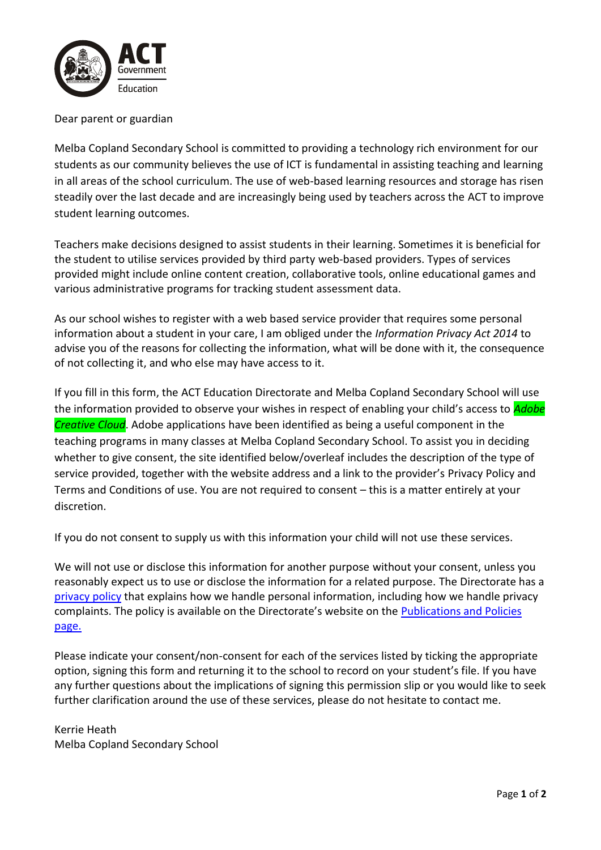

## Dear parent or guardian

Melba Copland Secondary School is committed to providing a technology rich environment for our students as our community believes the use of ICT is fundamental in assisting teaching and learning in all areas of the school curriculum. The use of web-based learning resources and storage has risen steadily over the last decade and are increasingly being used by teachers across the ACT to improve student learning outcomes.

Teachers make decisions designed to assist students in their learning. Sometimes it is beneficial for the student to utilise services provided by third party web-based providers. Types of services provided might include online content creation, collaborative tools, online educational games and various administrative programs for tracking student assessment data.

As our school wishes to register with a web based service provider that requires some personal information about a student in your care, I am obliged under the *Information Privacy Act 2014* to advise you of the reasons for collecting the information, what will be done with it, the consequence of not collecting it, and who else may have access to it.

If you fill in this form, the ACT Education Directorate and Melba Copland Secondary School will use the information provided to observe your wishes in respect of enabling your child's access to *Adobe Creative Cloud*. Adobe applications have been identified as being a useful component in the teaching programs in many classes at Melba Copland Secondary School. To assist you in deciding whether to give consent, the site identified below/overleaf includes the description of the type of service provided, together with the website address and a link to the provider's Privacy Policy and Terms and Conditions of use. You are not required to consent – this is a matter entirely at your discretion.

If you do not consent to supply us with this information your child will not use these services.

We will not use or disclose this information for another purpose without your consent, unless you reasonably expect us to use or disclose the information for a related purpose. The Directorate has a [privacy policy](https://www.education.act.gov.au/functions/privacy) that explains how we handle personal information, including how we handle privacy complaints. The policy is available on the Directorate's website on the [Publications and Policies](https://www.education.act.gov.au/publications_and_policies/corporate-policies/school-administration-and-management/complaints/complaints-policy)  [page.](https://www.education.act.gov.au/publications_and_policies/corporate-policies/school-administration-and-management/complaints/complaints-policy)

Please indicate your consent/non-consent for each of the services listed by ticking the appropriate option, signing this form and returning it to the school to record on your student's file. If you have any further questions about the implications of signing this permission slip or you would like to seek further clarification around the use of these services, please do not hesitate to contact me.

Kerrie Heath Melba Copland Secondary School